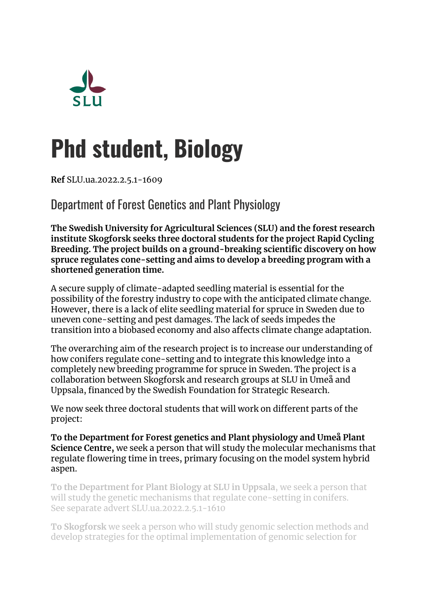

# **Phd student, Biology**

**Ref** SLU.ua.2022.2.5.1-1609

Department of Forest Genetics and Plant Physiology

**The Swedish University for Agricultural Sciences (SLU) and the forest research institute Skogforsk seeks three doctoral students for the project Rapid Cycling Breeding. The project builds on a ground-breaking scientific discovery on how spruce regulates cone-setting and aims to develop a breeding program with a shortened generation time.**

A secure supply of climate-adapted seedling material is essential for the possibility of the forestry industry to cope with the anticipated climate change. However, there is a lack of elite seedling material for spruce in Sweden due to uneven cone-setting and pest damages. The lack of seeds impedes the transition into a biobased economy and also affects climate change adaptation.

The overarching aim of the research project is to increase our understanding of how conifers regulate cone-setting and to integrate this knowledge into a completely new breeding programme for spruce in Sweden. The project is a collaboration between Skogforsk and research groups at SLU in Umeå and Uppsala, financed by the Swedish Foundation for Strategic Research.

We now seek three doctoral students that will work on different parts of the project:

**To the Department for Forest genetics and Plant physiology and Umeå Plant Science Centre,** we seek a person that will study the molecular mechanisms that regulate flowering time in trees, primary focusing on the model system hybrid aspen.

**To the Department for Plant Biology at SLU in Uppsala**, we seek a person that will study the genetic mechanisms that regulate cone-setting in conifers. See separate advert SLU.ua.2022.2.5.1-1610

**To Skogforsk** we seek a person who will study genomic selection methods and develop strategies for the optimal implementation of genomic selection for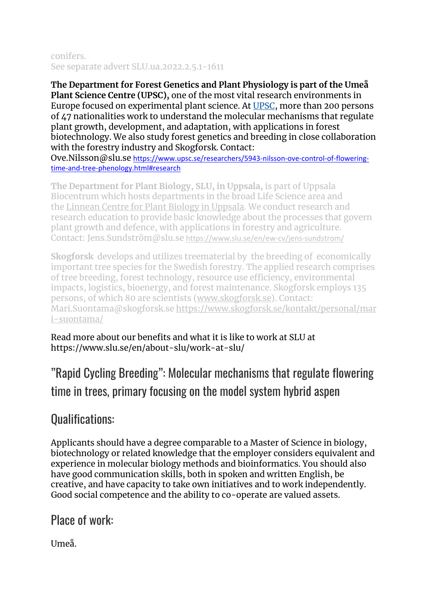#### conifers. See separate advert SLU.ua.2022.2.5.1-1611

**The Department for Forest Genetics and Plant Physiology is part of the Umeå Plant Science Centre (UPSC),** one of the most vital research environments in Europe focused on experimental plant science. At [UPSC,](https://www.upsc.se/) more than 200 persons of 47 nationalities work to understand the molecular mechanisms that regulate plant growth, development, and adaptation, with applications in forest biotechnology. We also study forest genetics and breeding in close collaboration with the forestry industry and Skogforsk. Contact:

Ove.Nilsson@slu.se [https://www.upsc.se/researchers/5943-nilsson-ove-control-of-flowering](https://www.upsc.se/researchers/5943-nilsson-ove-control-of-flowering-time-and-tree-phenology.html#research)[time-and-tree-phenology.html#research](https://www.upsc.se/researchers/5943-nilsson-ove-control-of-flowering-time-and-tree-phenology.html#research)

**The Department for Plant Biology, SLU, in Uppsala,** is part of Uppsala Biocentrum which hosts departments in the broad Life Science area and the [Linnean Centre for Plant Biology in Uppsala.](https://lcpu.se/) We conduct research and research education to provide basic knowledge about the processes that govern plant growth and defence, with applications in forestry and agriculture. Contact: Jens.Sundström@slu.se <https://www.slu.se/en/ew-cv/jens-sundstrom/>

**Skogforsk** develops and utilizes treematerial by the breeding of economically important tree species for the Swedish forestry. The applied research comprises of tree breeding, forest technology, resource use efficiency, environmental impacts, logistics, bioenergy, and forest maintenance. Skogforsk employs 135 persons, of which 80 are scientists [\(www.skogforsk.se\)](http://www.skogforsk.se/). Contact: Mari.Suontama@skogforsk.se [https://www.skogforsk.se/kontakt/personal/mar](https://www.skogforsk.se/kontakt/personal/mari-suontama/) [i-suontama/](https://www.skogforsk.se/kontakt/personal/mari-suontama/)

Read more about our benefits and what it is like to work at SLU at https://www.slu.se/en/about-slu/work-at-slu/

"Rapid Cycling Breeding": Molecular mechanisms that regulate flowering time in trees, primary focusing on the model system hybrid aspen

## Qualifications:

Applicants should have a degree comparable to a Master of Science in biology, biotechnology or related knowledge that the employer considers equivalent and experience in molecular biology methods and bioinformatics. You should also have good communication skills, both in spoken and written English, be creative, and have capacity to take own initiatives and to work independently. Good social competence and the ability to co-operate are valued assets.

Place of work:

Umeå.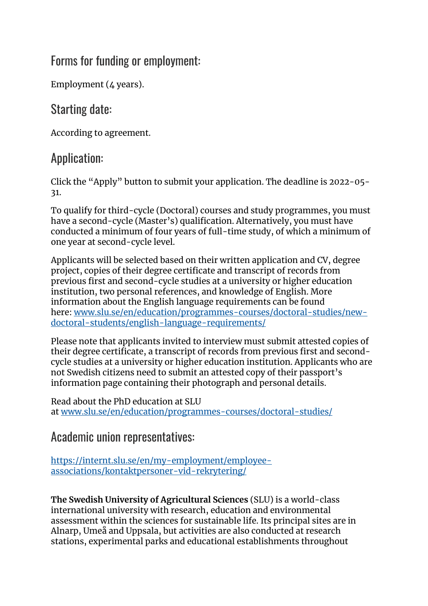#### Forms for funding or employment:

Employment ( $\angle$  years).

# Starting date:

According to agreement.

# Application:

Click the "Apply" button to submit your application. The deadline is 2022-05- 31.

To qualify for third-cycle (Doctoral) courses and study programmes, you must have a second-cycle (Master's) qualification. Alternatively, you must have conducted a minimum of four years of full-time study, of which a minimum of one year at second-cycle level.

Applicants will be selected based on their written application and CV, degree project, copies of their degree certificate and transcript of records from previous first and second-cycle studies at a university or higher education institution, two personal references, and knowledge of English. More information about the English language requirements can be found here: [www.slu.se/en/education/programmes-courses/doctoral-studies/new](https://www.slu.se/en/education/programmes-courses/doctoral-studies/new-doctoral-students/english-language-requirements/)[doctoral-students/english-language-requirements/](https://www.slu.se/en/education/programmes-courses/doctoral-studies/new-doctoral-students/english-language-requirements/)

Please note that applicants invited to interview must submit attested copies of their degree certificate, a transcript of records from previous first and secondcycle studies at a university or higher education institution. Applicants who are not Swedish citizens need to submit an attested copy of their passport's information page containing their photograph and personal details.

Read about the PhD education at SLU at [www.slu.se/en/education/programmes-courses/doctoral-studies/](https://www.slu.se/en/education/programmes-courses/doctoral-studies/)

### Academic union representatives:

[https://internt.slu.se/en/my-employment/employee](https://internt.slu.se/en/my-employment/employee-associations/kontaktpersoner-vid-rekrytering/)[associations/kontaktpersoner-vid-rekrytering/](https://internt.slu.se/en/my-employment/employee-associations/kontaktpersoner-vid-rekrytering/)

**The Swedish University of Agricultural Sciences** (SLU) is a world-class international university with research, education and environmental assessment within the sciences for sustainable life. Its principal sites are in Alnarp, Umeå and Uppsala, but activities are also conducted at research stations, experimental parks and educational establishments throughout